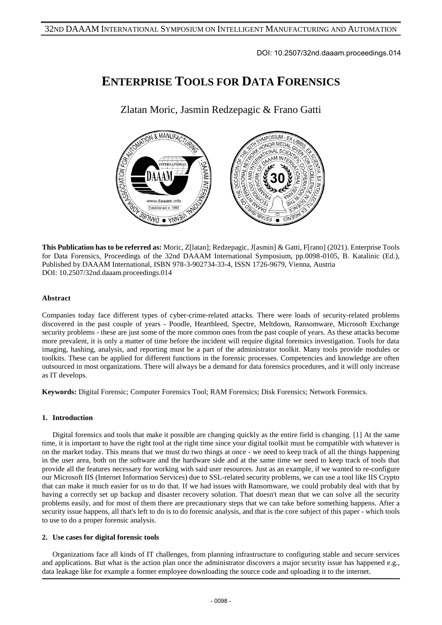DOI: 10.2507/32nd.daaam.proceedings.014

# **ENTERPRISE TOOLS FOR DATA FORENSICS**

Zlatan Moric, Jasmin Redzepagic & Frano Gatti



**This Publication has to be referred as:** Moric, Z[latan]; Redzepagic, J[asmin] & Gatti, F[rano] (2021). Enterprise Tools for Data Forensics, Proceedings of the 32nd DAAAM International Symposium, pp.0098-0105, B. Katalinic (Ed.), Published by DAAAM International, ISBN 978-3-902734-33-4, ISSN 1726-9679, Vienna, Austria DOI: 10.2507/32nd.daaam.proceedings.014

## **Abstract**

Companies today face different types of cyber-crime-related attacks. There were loads of security-related problems discovered in the past couple of years - Poodle, Heartbleed, Spectre, Meltdown, Ransomware, Microsoft Exchange security problems - these are just some of the more common ones from the past couple of years. As these attacks become more prevalent, it is only a matter of time before the incident will require digital forensics investigation. Tools for data imaging, hashing, analysis, and reporting must be a part of the administrator toolkit. Many tools provide modules or toolkits. These can be applied for different functions in the forensic processes. Competencies and knowledge are often outsourced in most organizations. There will always be a demand for data forensics procedures, and it will only increase as IT develops.

**Keywords:** Digital Forensic; Computer Forensics Tool; RAM Forensics; Disk Forensics; Network Forensics.

## **1. Introduction**

Digital forensics and tools that make it possible are changing quickly as the entire field is changing. [1] At the same time, it is important to have the right tool at the right time since your digital toolkit must be compatible with whatever is on the market today. This means that we must do two things at once - we need to keep track of all the things happening in the user area, both on the software and the hardware side and at the same time we need to keep track of tools that provide all the features necessary for working with said user resources. Just as an example, if we wanted to re-configure our Microsoft IIS (Internet Information Services) due to SSL-related security problems, we can use a tool like IIS Crypto that can make it much easier for us to do that. If we had issues with Ransomware, we could probably deal with that by having a correctly set up backup and disaster recovery solution. That doesn't mean that we can solve all the security problems easily, and for most of them there are precautionary steps that we can take before something happens. After a security issue happens, all that's left to do is to do forensic analysis, and that is the core subject of this paper - which tools to use to do a proper forensic analysis.

## **2. Use cases for digital forensic tools**

Organizations face all kinds of IT challenges, from planning infrastructure to configuring stable and secure services and applications. But what is the action plan once the administrator discovers a major security issue has happened e.g., data leakage like for example a former employee downloading the source code and uploading it to the internet.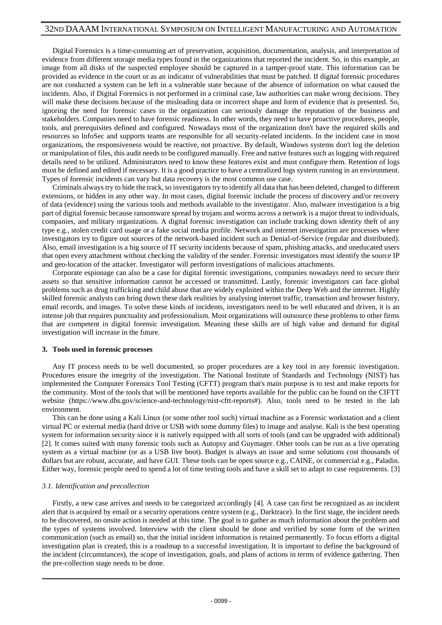Digital Forensics is a time-consuming art of preservation, acquisition, documentation, analysis, and interpretation of evidence from different storage media types found in the organizations that reported the incident. So, in this example, an image from all disks of the suspected employee should be captured in a tamper-proof state. This information can be provided as evidence in the court or as an indicator of vulnerabilities that must be patched. If digital forensic procedures are not conducted a system can be left in a vulnerable state because of the absence of information on what caused the incidents. Also, if Digital Forensics is not performed in a criminal case, law authorities can make wrong decisions. They will make these decisions because of the misleading data or incorrect shape and form of evidence that is presented. So, ignoring the need for forensic cases in the organization can seriously damage the reputation of the business and stakeholders. Companies need to have forensic readiness. In other words, they need to have proactive procedures, people, tools, and prerequisites defined and configured. Nowadays most of the organization don't have the required skills and resources so InfoSec and supports teams are responsible for all security-related incidents. In the incident case in most organizations, the responsiveness would be reactive, not proactive. By default, Windows systems don't log the deletion or manipulation of files, this audit needs to be configured manually. Free and native features such as logging with required details need to be utilized. Administrators need to know these features exist and must configure them. Retention of logs must be defined and edited if necessary. It is a good practice to have a centralized logs system running in an environment. Types of forensic incidents can vary but data recovery is the most common use case.

Criminals always try to hide the track, so investigators try to identify all data that has been deleted, changed to different extensions, or hidden in any other way. In most cases, digital forensic include the process of discovery and/or recovery of data (evidence) using the various tools and methods available to the investigator. Also, malware investigation is a big part of digital forensic because ransomware spread by trojans and worms across a network is a major threat to individuals, companies, and military organizations. A digital forensic investigation can include tracking down identity theft of any type e.g., stolen credit card usage or a fake social media profile. Network and internet investigation are processes where investigators try to figure out sources of the network-based incident such as Denial-of-Service (regular and distributed). Also, email investigation is a big source of IT security incidents because of spam, phishing attacks, and uneducated users that open every attachment without checking the validity of the sender. Forensic investigators must identify the source IP and geo-location of the attacker. Investigator will perform investigations of malicious attachments.

Corporate espionage can also be a case for digital forensic investigations, companies nowadays need to secure their assets so that sensitive information cannot be accessed or transmitted. Lastly, forensic investigators can face global problems such as drug trafficking and child abuse that are widely exploited within the Deep Web and the internet. Highly skilled forensic analysts can bring down these dark realities by analysing internet traffic, transaction and browser history, email records, and images. To solve these kinds of incidents, investigators need to be well educated and driven, it is an intense job that requires punctuality and professionalism. Most organizations will outsource these problems to other firms that are competent in digital forensic investigation. Meaning these skills are of high value and demand for digital investigation will increase in the future.

#### **3. Tools used in forensic processes**

Any IT process needs to be well documented, so proper procedures are a key tool in any forensic investigation. Procedures ensure the integrity of the investigation. The National Institute of Standards and Technology (NIST) has implemented the Computer Forensics Tool Testing (CFTT) program that's main purpose is to test and make reports for the community. Most of the tools that will be mentioned have reports available for the public can be found on the CIFTT website (https://www.dhs.gov/science-and-technology/nist-cftt-reports#). Also, tools need to be tested in the lab environment.

This can be done using a Kali Linux (or some other tool such) virtual machine as a Forensic workstation and a client virtual PC or external media (hard drive or USB with some dummy files) to image and analyse. Kali is the best operating system for information security since it is natively equipped with all sorts of tools (and can be upgraded with additional) [2]. It comes suited with many forensic tools such as Autopsy and Guymager. Other tools can be run as a live operating system as a virtual machine (or as a USB live boot). Budget is always an issue and some solutions cost thousands of dollars but are robust, accurate, and have GUI. These tools can be open source e.g., CAINE, or commercial e.g., Paladin. Either way, forensic people need to spend a lot of time testing tools and have a skill set to adapt to case requirements. [3]

## *3.1. Identification and precollection*

Firstly, a new case arrives and needs to be categorized accordingly [4]. A case can first be recognized as an incident alert that is acquired by email or a security operations centre system (e.g., Darktrace). In the first stage, the incident needs to be discovered, no onsite action is needed at this time. The goal is to gather as much information about the problem and the types of systems involved. Interview with the client should be done and verified by some form of the written communication (such as email) so, that the initial incident information is retained permanently. To focus efforts a digital investigation plan is created, this is a roadmap to a successful investigation. It is important to define the background of the incident (circumstances), the scope of investigation, goals, and plans of actions in terms of evidence gathering. Then the pre-collection stage needs to be done.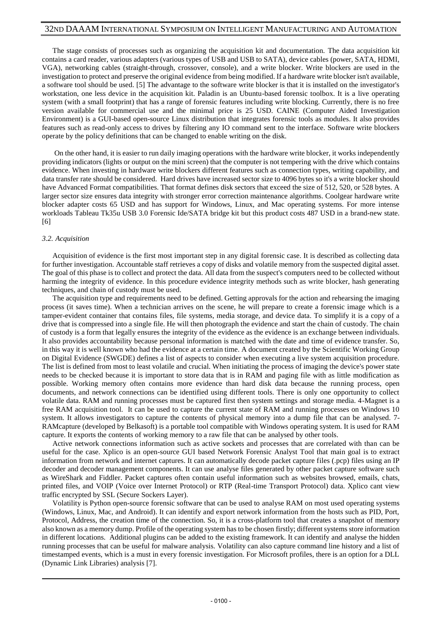The stage consists of processes such as organizing the acquisition kit and documentation. The data acquisition kit contains a card reader, various adapters (various types of USB and USB to SATA), device cables (power, SATA, HDMI, VGA), networking cables (straight-through, crossover, console), and a write blocker. Write blockers are used in the investigation to protect and preserve the original evidence from being modified. If a hardware write blocker isn't available, a software tool should be used. [5] The advantage to the software write blocker is that it is installed on the investigator's workstation, one less device in the acquisition kit. Paladin is an Ubuntu-based forensic toolbox. It is a live operating system (with a small footprint) that has a range of forensic features including write blocking. Currently, there is no free version available for commercial use and the minimal price is 25 USD. CAINE (Computer Aided Investigation Environment) is a GUI-based open-source Linux distribution that integrates forensic tools as modules. It also provides features such as read-only access to drives by filtering any IO command sent to the interface. Software write blockers operate by the policy definitions that can be changed to enable writing on the disk.

On the other hand, it is easier to run daily imaging operations with the hardware write blocker, it works independently providing indicators (lights or output on the mini screen) that the computer is not tempering with the drive which contains evidence. When investing in hardware write blockers different features such as connection types, writing capability, and data transfer rate should be considered. Hard drives have increased sector size to 4096 bytes so it's a write blocker should have Advanced Format compatibilities. That format defines disk sectors that exceed the size of 512, 520, or 528 bytes. A larger sector size ensures data integrity with stronger error correction maintenance algorithms. Coolgear hardware write blocker adapter costs 65 USD and has support for Windows, Linux, and Mac operating systems. For more intense workloads Tableau Tk35u USB 3.0 Forensic Ide/SATA bridge kit but this product costs 487 USD in a brand-new state. [6]

#### *3.2. Acquisition*

Acquisition of evidence is the first most important step in any digital forensic case. It is described as collecting data for further investigation. Accountable staff retrieves a copy of disks and volatile memory from the suspected digital asset. The goal of this phase is to collect and protect the data. All data from the suspect's computers need to be collected without harming the integrity of evidence. In this procedure evidence integrity methods such as write blocker, hash generating techniques, and chain of custody must be used.

The acquisition type and requirements need to be defined. Getting approvals for the action and rehearsing the imaging process (it saves time). When a technician arrives on the scene, he will prepare to create a forensic image which is a tamper-evident container that contains files, file systems, media storage, and device data. To simplify it is a copy of a drive that is compressed into a single file. He will then photograph the evidence and start the chain of custody. The chain of custody is a form that legally ensures the integrity of the evidence as the evidence is an exchange between individuals. It also provides accountability because personal information is matched with the date and time of evidence transfer. So, in this way it is well known who had the evidence at a certain time. A document created by the Scientific Working Group on Digital Evidence (SWGDE) defines a list of aspects to consider when executing a live system acquisition procedure. The list is defined from most to least volatile and crucial. When initiating the process of imaging the device's power state needs to be checked because it is important to store data that is in RAM and paging file with as little modification as possible. Working memory often contains more evidence than hard disk data because the running process, open documents, and network connections can be identified using different tools. There is only one opportunity to collect volatile data. RAM and running processes must be captured first then system settings and storage media. 4-Magnet is a free RAM acquisition tool. It can be used to capture the current state of RAM and running processes on Windows 10 system. It allows investigators to capture the contents of physical memory into a dump file that can be analysed. 7- RAMcapture (developed by Belkasoft) is a portable tool compatible with Windows operating system. It is used for RAM capture. It exports the contents of working memory to a raw file that can be analysed by other tools.

Active network connections information such as active sockets and processes that are correlated with than can be useful for the case. Xplico is an open-source GUI based Network Forensic Analyst Tool that main goal is to extract information from network and internet captures. It can automatically decode packet capture files (.pcp) files using an IP decoder and decoder management components. It can use analyse files generated by other packet capture software such as WireShark and Fiddler. Packet captures often contain useful information such as websites browsed, emails, chats, printed files, and VOIP (Voice over Internet Protocol) or RTP (Real-time Transport Protocol) data. Xplico cant view traffic encrypted by SSL (Secure Sockers Layer).

Volatility is Python open-source forensic software that can be used to analyse RAM on most used operating systems (Windows, Linux, Mac, and Android). It can identify and export network information from the hosts such as PID, Port, Protocol, Address, the creation time of the connection. So, it is a cross-platform tool that creates a snapshot of memory also known as a memory dump. Profile of the operating system has to be chosen firstly; different systems store information in different locations. Additional plugins can be added to the existing framework. It can identify and analyse the hidden running processes that can be useful for malware analysis. Volatility can also capture command line history and a list of timestamped events, which is a must in every forensic investigation. For Microsoft profiles, there is an option for a DLL (Dynamic Link Libraries) analysis [7].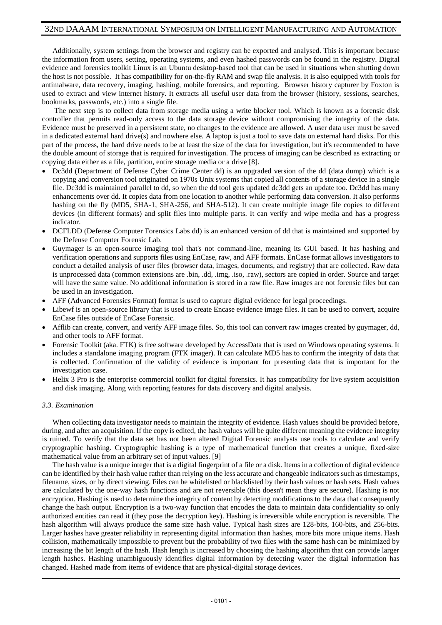Additionally, system settings from the browser and registry can be exported and analysed. This is important because the information from users, setting, operating systems, and even hashed passwords can be found in the registry. Digital evidence and forensics toolkit Linux is an Ubuntu desktop-based tool that can be used in situations when shutting down the host is not possible. It has compatibility for on-the-fly RAM and swap file analysis. It is also equipped with tools for antimalware, data recovery, imaging, hashing, mobile forensics, and reporting. Browser history capturer by Foxton is used to extract and view internet history. It extracts all useful user data from the browser (history, sessions, searches, bookmarks, passwords, etc.) into a single file.

The next step is to collect data from storage media using a write blocker tool. Which is known as a forensic disk controller that permits read-only access to the data storage device without compromising the integrity of the data. Evidence must be preserved in a persistent state, no changes to the evidence are allowed. A user data user must be saved in a dedicated external hard drive(s) and nowhere else. A laptop is just a tool to save data on external hard disks. For this part of the process, the hard drive needs to be at least the size of the data for investigation, but it's recommended to have the double amount of storage that is required for investigation. The process of imaging can be described as extracting or copying data either as a file, partition, entire storage media or a drive [8].

- Dc3dd (Department of Defense Cyber Crime Center dd) is an upgraded version of the dd (data dump) which is a copying and conversion tool originated on 1970s Unix systems that copied all contents of a storage device in a single file. Dc3dd is maintained parallel to dd, so when the dd tool gets updated dc3dd gets an update too. Dc3dd has many enhancements over dd. It copies data from one location to another while performing data conversion. It also performs hashing on the fly (MD5, SHA-1, SHA-256, and SHA-512). It can create multiple image file copies to different devices (in different formats) and split files into multiple parts. It can verify and wipe media and has a progress indicator.
- DCFLDD (Defense Computer Forensics Labs dd) is an enhanced version of dd that is maintained and supported by the Defense Computer Forensic Lab.
- Guymager is an open-source imaging tool that's not command-line, meaning its GUI based. It has hashing and verification operations and supports files using EnCase, raw, and AFF formats. EnCase format allows investigators to conduct a detailed analysis of user files (browser data, images, documents, and registry) that are collected. Raw data is unprocessed data (common extensions are .bin, .dd, .img, .iso, .raw), sectors are copied in order. Source and target will have the same value. No additional information is stored in a raw file. Raw images are not forensic files but can be used in an investigation.
- AFF (Advanced Forensics Format) format is used to capture digital evidence for legal proceedings.
- Libewf is an open-source library that is used to create Encase evidence image files. It can be used to convert, acquire EnCase files outside of EnCase Forensic.
- Afflib can create, convert, and verify AFF image files. So, this tool can convert raw images created by guymager, dd, and other tools to AFF format.
- Forensic Toolkit (aka. FTK) is free software developed by AccessData that is used on Windows operating systems. It includes a standalone imaging program (FTK imager). It can calculate MD5 has to confirm the integrity of data that is collected. Confirmation of the validity of evidence is important for presenting data that is important for the investigation case.
- Helix 3 Pro is the enterprise commercial toolkit for digital forensics. It has compatibility for live system acquisition and disk imaging. Along with reporting features for data discovery and digital analysis.

## *3.3. Examination*

When collecting data investigator needs to maintain the integrity of evidence. Hash values should be provided before, during, and after an acquisition. If the copy is edited, the hash values will be quite different meaning the evidence integrity is ruined. To verify that the data set has not been altered Digital Forensic analysts use tools to calculate and verify cryptographic hashing. Cryptographic hashing is a type of mathematical function that creates a unique, fixed-size mathematical value from an arbitrary set of input values. [9]

The hash value is a unique integer that is a digital fingerprint of a file or a disk. Items in a collection of digital evidence can be identified by their hash value rather than relying on the less accurate and changeable indicators such as timestamps, filename, sizes, or by direct viewing. Files can be whitelisted or blacklisted by their hash values or hash sets. Hash values are calculated by the one-way hash functions and are not reversible (this doesn't mean they are secure). Hashing is not encryption. Hashing is used to determine the integrity of content by detecting modifications to the data that consequently change the hash output. Encryption is a two-way function that encodes the data to maintain data confidentiality so only authorized entities can read it (they pose the decryption key). Hashing is irreversible while encryption is reversible. The hash algorithm will always produce the same size hash value. Typical hash sizes are 128-bits, 160-bits, and 256-bits. Larger hashes have greater reliability in representing digital information than hashes, more bits more unique items. Hash collision, mathematically impossible to prevent but the probability of two files with the same hash can be minimized by increasing the bit length of the hash. Hash length is increased by choosing the hashing algorithm that can provide larger length hashes. Hashing unambiguously identifies digital information by detecting water the digital information has changed. Hashed made from items of evidence that are physical-digital storage devices.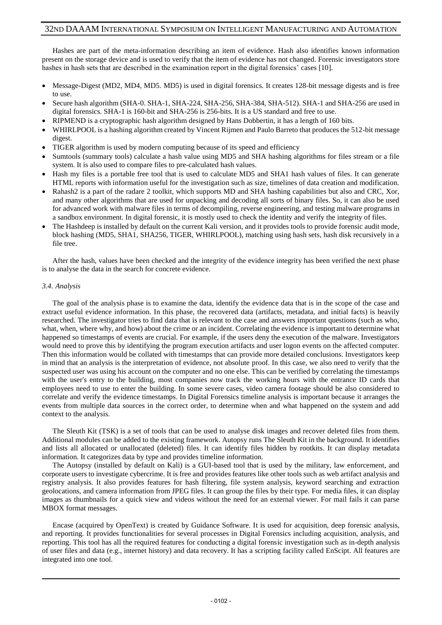Hashes are part of the meta-information describing an item of evidence. Hash also identifies known information present on the storage device and is used to verify that the item of evidence has not changed. Forensic investigators store hashes in hash sets that are described in the examination report in the digital forensics' cases [10].

- Message-Digest (MD2, MD4, MD5. MD5) is used in digital forensics. It creates 128-bit message digests and is free to use.
- Secure hash algorithm (SHA-0. SHA-1, SHA-224, SHA-256, SHA-384, SHA-512). SHA-1 and SHA-256 are used in digital forensics. SHA-1 is 160-bit and SHA-256 is 256-bits. It is a US standard and free to use.
- RIPMEND is a cryptographic hash algorithm designed by Hans Dobbertin, it has a length of 160 bits.
- WHIRLPOOL is a hashing algorithm created by Vincent Rijmen and Paulo Barreto that produces the 512-bit message digest.
- TIGER algorithm is used by modern computing because of its speed and efficiency
- Sumtools (summary tools) calculate a hash value using MD5 and SHA hashing algorithms for files stream or a file system. It is also used to compare files to pre-calculated hash values.
- Hash my files is a portable free tool that is used to calculate MD5 and SHA1 hash values of files. It can generate HTML reports with information useful for the investigation such as size, timelines of data creation and modification.
- Rahash2 is a part of the radare 2 toolkit, which supports MD and SHA hashing capabilities but also and CRC, Xor, and many other algorithms that are used for unpacking and decoding all sorts of binary files. So, it can also be used for advanced work with malware files in terms of decompiling, reverse engineering, and testing malware programs in a sandbox environment. In digital forensic, it is mostly used to check the identity and verify the integrity of files.
- The Hashdeep is installed by default on the current Kali version, and it provides tools to provide forensic audit mode, block hashing (MD5, SHA1, SHA256, TIGER, WHIRLPOOL), matching using hash sets, hash disk recursively in a file tree.

After the hash, values have been checked and the integrity of the evidence integrity has been verified the next phase is to analyse the data in the search for concrete evidence.

#### *3.4. Analysis*

The goal of the analysis phase is to examine the data, identify the evidence data that is in the scope of the case and extract useful evidence information. In this phase, the recovered data (artifacts, metadata, and initial facts) is heavily researched. The investigator tries to find data that is relevant to the case and answers important questions (such as who, what, when, where why, and how) about the crime or an incident. Correlating the evidence is important to determine what happened so timestamps of events are crucial. For example, if the users deny the execution of the malware. Investigators would need to prove this by identifying the program execution artifacts and user logon events on the affected computer. Then this information would be collated with timestamps that can provide more detailed conclusions. Investigators keep in mind that an analysis is the interpretation of evidence, not absolute proof. In this case, we also need to verify that the suspected user was using his account on the computer and no one else. This can be verified by correlating the timestamps with the user's entry to the building, most companies now track the working hours with the entrance ID cards that employees need to use to enter the building. In some severe cases, video camera footage should be also considered to correlate and verify the evidence timestamps. In Digital Forensics timeline analysis is important because it arranges the events from multiple data sources in the correct order, to determine when and what happened on the system and add context to the analysis.

The Sleuth Kit (TSK) is a set of tools that can be used to analyse disk images and recover deleted files from them. Additional modules can be added to the existing framework. Autopsy runs The Sleuth Kit in the background. It identifies and lists all allocated or unallocated (deleted) files. It can identify files hidden by rootkits. It can display metadata information. It categorizes data by type and provides timeline information.

The Autopsy (installed by default on Kali) is a GUI-based tool that is used by the military, law enforcement, and corporate users to investigate cybercrime. It is free and provides features like other tools such as web artifact analysis and registry analysis. It also provides features for hash filtering, file system analysis, keyword searching and extraction geolocations, and camera information from JPEG files. It can group the files by their type. For media files, it can display images as thumbnails for a quick view and videos without the need for an external viewer. For mail fails it can parse MBOX format messages.

Encase (acquired by OpenText) is created by Guidance Software. It is used for acquisition, deep forensic analysis, and reporting. It provides functionalities for several processes in Digital Forensics including acquisition, analysis, and reporting. This tool has all the required features for conducting a digital forensic investigation such as in-depth analysis of user files and data (e.g., internet history) and data recovery. It has a scripting facility called EnScipt. All features are integrated into one tool.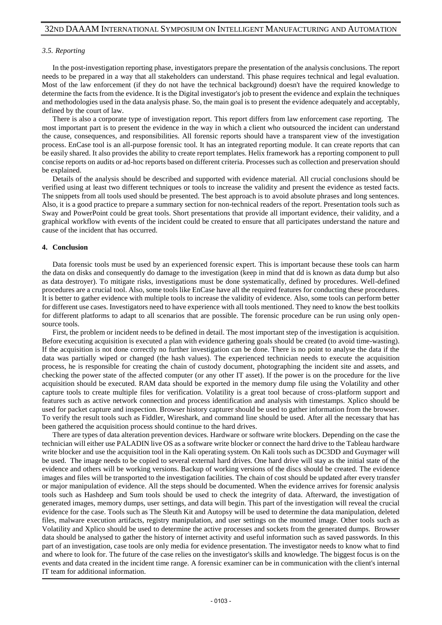#### *3.5. Reporting*

In the post-investigation reporting phase, investigators prepare the presentation of the analysis conclusions. The report needs to be prepared in a way that all stakeholders can understand. This phase requires technical and legal evaluation. Most of the law enforcement (if they do not have the technical background) doesn't have the required knowledge to determine the facts from the evidence. It is the Digital investigator's job to present the evidence and explain the techniques and methodologies used in the data analysis phase. So, the main goal is to present the evidence adequately and acceptably, defined by the court of law.

There is also a corporate type of investigation report. This report differs from law enforcement case reporting. The most important part is to present the evidence in the way in which a client who outsourced the incident can understand the cause, consequences, and responsibilities. All forensic reports should have a transparent view of the investigation process. EnCase tool is an all-purpose forensic tool. It has an integrated reporting module. It can create reports that can be easily shared. It also provides the ability to create report templates. Helix framework has a reporting component to pull concise reports on audits or ad-hoc reports based on different criteria. Processes such as collection and preservation should be explained.

Details of the analysis should be described and supported with evidence material. All crucial conclusions should be verified using at least two different techniques or tools to increase the validity and present the evidence as tested facts. The snippets from all tools used should be presented. The best approach is to avoid absolute phrases and long sentences. Also, it is a good practice to prepare a summary section for non-technical readers of the report. Presentation tools such as Sway and PowerPoint could be great tools. Short presentations that provide all important evidence, their validity, and a graphical workflow with events of the incident could be created to ensure that all participates understand the nature and cause of the incident that has occurred.

#### **4. Conclusion**

Data forensic tools must be used by an experienced forensic expert. This is important because these tools can harm the data on disks and consequently do damage to the investigation (keep in mind that dd is known as data dump but also as data destroyer). To mitigate risks, investigations must be done systematically, defined by procedures. Well-defined procedures are a crucial tool. Also, some tools like EnCase have all the required features for conducting these procedures. It is better to gather evidence with multiple tools to increase the validity of evidence. Also, some tools can perform better for different use cases. Investigators need to have experience with all tools mentioned. They need to know the best toolkits for different platforms to adapt to all scenarios that are possible. The forensic procedure can be run using only opensource tools.

First, the problem or incident needs to be defined in detail. The most important step of the investigation is acquisition. Before executing acquisition is executed a plan with evidence gathering goals should be created (to avoid time-wasting). If the acquisition is not done correctly no further investigation can be done. There is no point to analyse the data if the data was partially wiped or changed (the hash values). The experienced technician needs to execute the acquisition process, he is responsible for creating the chain of custody document, photographing the incident site and assets, and checking the power state of the affected computer (or any other IT asset). If the power is on the procedure for the live acquisition should be executed. RAM data should be exported in the memory dump file using the Volatility and other capture tools to create multiple files for verification. Volatility is a great tool because of cross-platform support and features such as active network connection and process identification and analysis with timestamps. Xplico should be used for packet capture and inspection. Browser history capturer should be used to gather information from the browser. To verify the result tools such as Fiddler, Wireshark, and command line should be used. After all the necessary that has been gathered the acquisition process should continue to the hard drives.

There are types of data alteration prevention devices. Hardware or software write blockers. Depending on the case the technician will either use PALADIN live OS as a software write blocker or connect the hard drive to the Tableau hardware write blocker and use the acquisition tool in the Kali operating system. On Kali tools such as DC3DD and Guymager will be used. The image needs to be copied to several external hard drives. One hard drive will stay as the initial state of the evidence and others will be working versions. Backup of working versions of the discs should be created. The evidence images and files will be transported to the investigation facilities. The chain of cost should be updated after every transfer or major manipulation of evidence. All the steps should be documented. When the evidence arrives for forensic analysis tools such as Hashdeep and Sum tools should be used to check the integrity of data. Afterward, the investigation of generated images, memory dumps, user settings, and data will begin. This part of the investigation will reveal the crucial evidence for the case. Tools such as The Sleuth Kit and Autopsy will be used to determine the data manipulation, deleted files, malware execution artifacts, registry manipulation, and user settings on the mounted image. Other tools such as Volatility and Xplico should be used to determine the active processes and sockets from the generated dumps. Browser data should be analysed to gather the history of internet activity and useful information such as saved passwords. In this part of an investigation, case tools are only media for evidence presentation. The investigator needs to know what to find and where to look for. The future of the case relies on the investigator's skills and knowledge. The biggest focus is on the events and data created in the incident time range. A forensic examiner can be in communication with the client's internal IT team for additional information.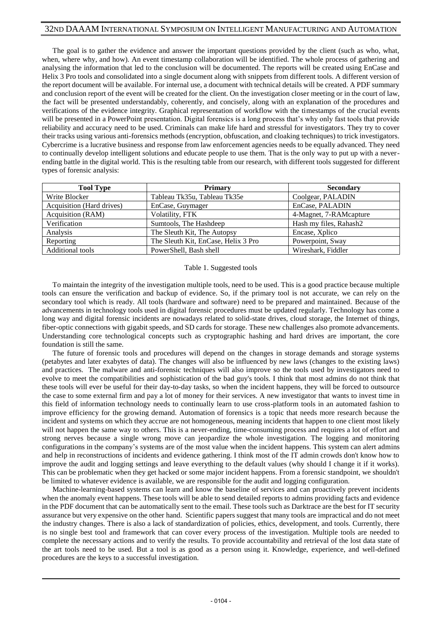The goal is to gather the evidence and answer the important questions provided by the client (such as who, what, when, where why, and how). An event timestamp collaboration will be identified. The whole process of gathering and analysing the information that led to the conclusion will be documented. The reports will be created using EnCase and Helix 3 Pro tools and consolidated into a single document along with snippets from different tools. A different version of the report document will be available. For internal use, a document with technical details will be created. A PDF summary and conclusion report of the event will be created for the client. On the investigation closer meeting or in the court of law, the fact will be presented understandably, coherently, and concisely, along with an explanation of the procedures and verifications of the evidence integrity. Graphical representation of workflow with the timestamps of the crucial events will be presented in a PowerPoint presentation. Digital forensics is a long process that's why only fast tools that provide reliability and accuracy need to be used. Criminals can make life hard and stressful for investigators. They try to cover their tracks using various anti-forensics methods (encryption, obfuscation, and cloaking techniques) to trick investigators. Cybercrime is a lucrative business and response from law enforcement agencies needs to be equally advanced. They need to continually develop intelligent solutions and educate people to use them. That is the only way to put up with a neverending battle in the digital world. This is the resulting table from our research, with different tools suggested for different types of forensic analysis:

| <b>Tool Type</b>          | <b>Primary</b>                      | <b>Secondary</b>        |
|---------------------------|-------------------------------------|-------------------------|
| Write Blocker             | Tableau Tk35u, Tableau Tk35e        | Coolgear, PALADIN       |
| Acquisition (Hard drives) | EnCase, Guymager                    | EnCase, PALADIN         |
| Acquisition (RAM)         | Volatility, FTK                     | 4-Magnet, 7-RAM capture |
| Verification              | Sumtools, The Hashdeep              | Hash my files, Rahash2  |
| Analysis                  | The Sleuth Kit, The Autopsy         | Encase, Xplico          |
| Reporting                 | The Sleuth Kit, EnCase, Helix 3 Pro | Powerpoint, Sway        |
| Additional tools          | PowerShell, Bash shell              | Wireshark, Fiddler      |

#### Table 1. Suggested tools

To maintain the integrity of the investigation multiple tools, need to be used. This is a good practice because multiple tools can ensure the verification and backup of evidence. So, if the primary tool is not accurate, we can rely on the secondary tool which is ready. All tools (hardware and software) need to be prepared and maintained. Because of the advancements in technology tools used in digital forensic procedures must be updated regularly. Technology has come a long way and digital forensic incidents are nowadays related to solid-state drives, cloud storage, the Internet of things, fiber-optic connections with gigabit speeds, and SD cards for storage. These new challenges also promote advancements. Understanding core technological concepts such as cryptographic hashing and hard drives are important, the core foundation is still the same.

The future of forensic tools and procedures will depend on the changes in storage demands and storage systems (petabytes and later exabytes of data). The changes will also be influenced by new laws (changes to the existing laws) and practices. The malware and anti-forensic techniques will also improve so the tools used by investigators need to evolve to meet the compatibilities and sophistication of the bad guy's tools. I think that most admins do not think that these tools will ever be useful for their day-to-day tasks, so when the incident happens, they will be forced to outsource the case to some external firm and pay a lot of money for their services. A new investigator that wants to invest time in this field of information technology needs to continually learn to use cross-platform tools in an automated fashion to improve efficiency for the growing demand. Automation of forensics is a topic that needs more research because the incident and systems on which they accrue are not homogeneous, meaning incidents that happen to one client most likely will not happen the same way to others. This is a never-ending, time-consuming process and requires a lot of effort and strong nerves because a single wrong move can jeopardize the whole investigation. The logging and monitoring configurations in the company's systems are of the most value when the incident happens. This system can alert admins and help in reconstructions of incidents and evidence gathering. I think most of the IT admin crowds don't know how to improve the audit and logging settings and leave everything to the default values (why should I change it if it works). This can be problematic when they get hacked or some major incident happens. From a forensic standpoint, we shouldn't be limited to whatever evidence is available, we are responsible for the audit and logging configuration.

Machine-learning-based systems can learn and know the baseline of services and can proactively prevent incidents when the anomaly event happens. These tools will be able to send detailed reports to admins providing facts and evidence in the PDF document that can be automatically sent to the email. These tools such as Darktrace are the best for IT security assurance but very expensive on the other hand. Scientific papers suggest that many tools are impractical and do not meet the industry changes. There is also a lack of standardization of policies, ethics, development, and tools. Currently, there is no single best tool and framework that can cover every process of the investigation. Multiple tools are needed to complete the necessary actions and to verify the results. To provide accountability and retrieval of the lost data state of the art tools need to be used. But a tool is as good as a person using it. Knowledge, experience, and well-defined procedures are the keys to a successful investigation.